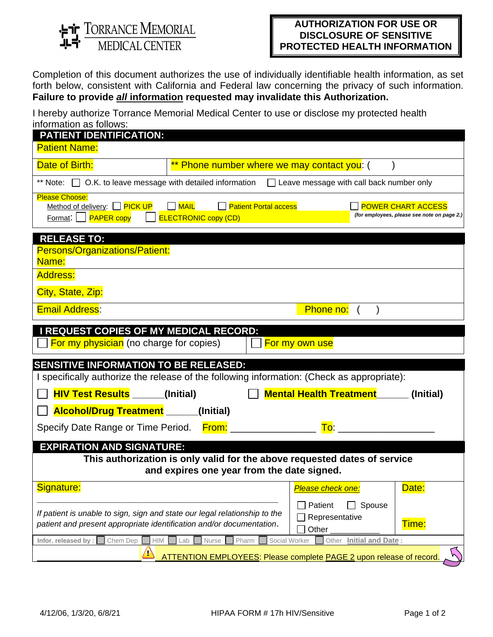**ir** TORRANCE MEMORIAL<br>**-4** MEDICAL CENTER

## **AUTHORIZATION FOR USE OR DISCLOSURE OF SENSITIVE PROTECTED HEALTH INFORMATION**

Completion of this document authorizes the use of individually identifiable health information, as set forth below, consistent with California and Federal law concerning the privacy of such information. **Failure to provide** *all* **information requested may invalidate this Authorization.**

I hereby authorize Torrance Memorial Medical Center to use or disclose my protected health information as follows:

| <b>PATIENT IDENTIFICATION:</b>                                                                                                                     |                                                                            |                                              |                                                                          |
|----------------------------------------------------------------------------------------------------------------------------------------------------|----------------------------------------------------------------------------|----------------------------------------------|--------------------------------------------------------------------------|
| <b>Patient Name:</b>                                                                                                                               |                                                                            |                                              |                                                                          |
| Date of Birth:                                                                                                                                     | ** Phone number where we may contact you: (                                |                                              |                                                                          |
| ** Note: $\Box$ O.K. to leave message with detailed information $\Box$ Leave message with call back number only                                    |                                                                            |                                              |                                                                          |
| <b>Please Choose:</b><br>Method of delivery: □ PICK UP<br>Format:     <b>PAPER copy</b>                                                            | $\Box$ MAIL<br><b>Patient Portal access</b><br><b>ELECTRONIC copy (CD)</b> |                                              | <b>POWER CHART ACCESS</b><br>(for employees, please see note on page 2.) |
| <b>RELEASE TO:</b>                                                                                                                                 |                                                                            |                                              |                                                                          |
| Persons/Organizations/Patient:<br>Name:                                                                                                            |                                                                            |                                              |                                                                          |
| <b>Address:</b>                                                                                                                                    |                                                                            |                                              |                                                                          |
| City, State, Zip:                                                                                                                                  |                                                                            |                                              |                                                                          |
| <b>Email Address:</b>                                                                                                                              |                                                                            | Phone no:                                    |                                                                          |
| <b>I REQUEST COPIES OF MY MEDICAL RECORD:</b>                                                                                                      |                                                                            |                                              |                                                                          |
| For my physician (no charge for copies)                                                                                                            |                                                                            | For my own use                               |                                                                          |
| <b>SENSITIVE INFORMATION TO BE RELEASED:</b>                                                                                                       |                                                                            |                                              |                                                                          |
| I specifically authorize the release of the following information: (Check as appropriate):                                                         |                                                                            |                                              |                                                                          |
| <b>HIV Test Results</b> _____(Initial)                                                                                                             |                                                                            | <b>Mental Health Treatment</b>               | (Initial)                                                                |
| <b>Alcohol/Drug Treatment</b> _____(Initial)                                                                                                       |                                                                            |                                              |                                                                          |
| Specify Date Range or Time Period. From:                                                                                                           |                                                                            | To:                                          |                                                                          |
| <b>EXPIRATION AND SIGNATURE:</b>                                                                                                                   |                                                                            |                                              |                                                                          |
|                                                                                                                                                    | This authorization is only valid for the above requested dates of service  |                                              |                                                                          |
|                                                                                                                                                    | and expires one year from the date signed.                                 |                                              |                                                                          |
| Signature:                                                                                                                                         |                                                                            | Please check one:                            | Date:                                                                    |
| If patient is unable to sign, sign and state our legal relationship to the<br>patient and present appropriate identification and/or documentation. |                                                                            | Patient<br>Spouse<br>Representative<br>Other | Time:                                                                    |
| Infor. released by :<br>Chem Dep<br>$\mathsf{HIM}$                                                                                                 | Nurse<br>Pharm<br>Social Worker<br>Lab                                     | Other<br><b>Initial and Date:</b>            |                                                                          |
| $\sqrt{2}$                                                                                                                                         | ATTENTION EMPLOYEES: Please complete PAGE 2 upon release of record.        |                                              |                                                                          |